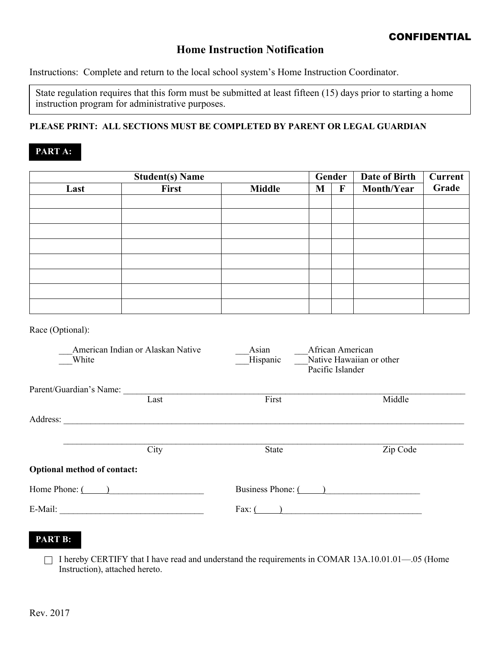## **Home Instruction Notification**

Instructions: Complete and return to the local school system's Home Instruction Coordinator.

State regulation requires that this form must be submitted at least fifteen (15) days prior to starting a home instruction program for administrative purposes.

### **PLEASE PRINT: ALL SECTIONS MUST BE COMPLETED BY PARENT OR LEGAL GUARDIAN**

## **PART A:**

| <b>Student(s) Name</b> |       |               | Gender |   | Date of Birth | <b>Current</b> |
|------------------------|-------|---------------|--------|---|---------------|----------------|
| Last                   | First | <b>Middle</b> | M      | F | Month/Year    | Grade          |
|                        |       |               |        |   |               |                |
|                        |       |               |        |   |               |                |
|                        |       |               |        |   |               |                |
|                        |       |               |        |   |               |                |
|                        |       |               |        |   |               |                |
|                        |       |               |        |   |               |                |
|                        |       |               |        |   |               |                |
|                        |       |               |        |   |               |                |
|                        |       |               |        |   |               |                |

Race (Optional):

| American Indian or Alaskan Native<br>White |      | Asian<br>Hispanic<br>Pacific Islander | African American<br>Native Hawaiian or other |
|--------------------------------------------|------|---------------------------------------|----------------------------------------------|
| Parent/Guardian's Name:                    |      |                                       |                                              |
|                                            | Last | First                                 | Middle                                       |
| Address:                                   |      |                                       |                                              |
|                                            | City | <b>State</b>                          | Zip Code                                     |
| <b>Optional method of contact:</b>         |      |                                       |                                              |
| Home Phone: (                              |      | Business Phone: (                     |                                              |
| E-Mail:                                    |      | Fax: $($                              |                                              |

### **PART B:**

 $\Box$  I hereby CERTIFY that I have read and understand the requirements in COMAR 13A.10.01.01—.05 (Home Instruction), attached hereto.